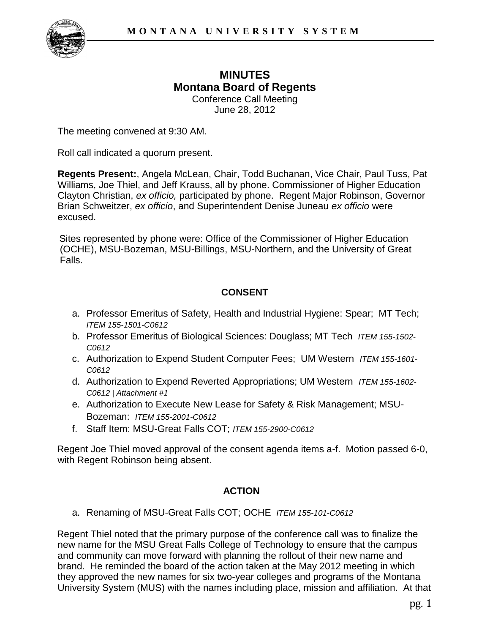

### **MINUTES Montana Board of Regents**  Conference Call Meeting

June 28, 2012

The meeting convened at 9:30 AM.

Roll call indicated a quorum present.

**Regents Present:**, Angela McLean, Chair, Todd Buchanan, Vice Chair, Paul Tuss, Pat Williams, Joe Thiel, and Jeff Krauss, all by phone. Commissioner of Higher Education Clayton Christian, *ex officio,* participated by phone. Regent Major Robinson, Governor Brian Schweitzer, *ex officio*, and Superintendent Denise Juneau *ex officio* were excused.

Sites represented by phone were: Office of the Commissioner of Higher Education (OCHE), MSU-Bozeman, MSU-Billings, MSU-Northern, and the University of Great Falls.

# **CONSENT**

- a. Professor Emeritus of Safety, Health and Industrial Hygiene: Spear; MT Tech; *ITEM 155-1501-C0612*
- b. Professor Emeritus of Biological Sciences: Douglass; MT Tech *ITEM 155-1502- C0612*
- c. Authorization to Expend Student Computer Fees; UM Western *ITEM 155-1601- C0612*
- d. Authorization to Expend Reverted Appropriations; UM Western *ITEM 155-1602- C0612 | Attachment #1*
- e. Authorization to Execute New Lease for Safety & Risk Management; MSU-Bozeman: *ITEM 155-2001-C0612*
- f. Staff Item: MSU-Great Falls COT; *ITEM 155-2900-C0612*

Regent Joe Thiel moved approval of the consent agenda items a-f. Motion passed 6-0, with Regent Robinson being absent.

# **ACTION**

a. Renaming of MSU-Great Falls COT; OCHE *ITEM 155-101-C0612*

Regent Thiel noted that the primary purpose of the conference call was to finalize the new name for the MSU Great Falls College of Technology to ensure that the campus and community can move forward with planning the rollout of their new name and brand. He reminded the board of the action taken at the May 2012 meeting in which they approved the new names for six two-year colleges and programs of the Montana University System (MUS) with the names including place, mission and affiliation. At that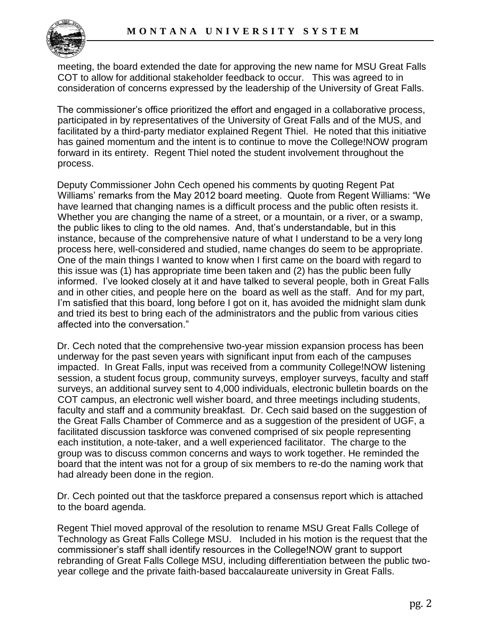

meeting, the board extended the date for approving the new name for MSU Great Falls COT to allow for additional stakeholder feedback to occur. This was agreed to in consideration of concerns expressed by the leadership of the University of Great Falls.

The commissioner's office prioritized the effort and engaged in a collaborative process, participated in by representatives of the University of Great Falls and of the MUS, and facilitated by a third-party mediator explained Regent Thiel. He noted that this initiative has gained momentum and the intent is to continue to move the College!NOW program forward in its entirety. Regent Thiel noted the student involvement throughout the process.

Deputy Commissioner John Cech opened his comments by quoting Regent Pat Williams' remarks from the May 2012 board meeting. Quote from Regent Williams: "We have learned that changing names is a difficult process and the public often resists it. Whether you are changing the name of a street, or a mountain, or a river, or a swamp, the public likes to cling to the old names. And, that's understandable, but in this instance, because of the comprehensive nature of what I understand to be a very long process here, well-considered and studied, name changes do seem to be appropriate. One of the main things I wanted to know when I first came on the board with regard to this issue was (1) has appropriate time been taken and (2) has the public been fully informed. I've looked closely at it and have talked to several people, both in Great Falls and in other cities, and people here on the board as well as the staff. And for my part, I'm satisfied that this board, long before I got on it, has avoided the midnight slam dunk and tried its best to bring each of the administrators and the public from various cities affected into the conversation."

Dr. Cech noted that the comprehensive two-year mission expansion process has been underway for the past seven years with significant input from each of the campuses impacted. In Great Falls, input was received from a community College!NOW listening session, a student focus group, community surveys, employer surveys, faculty and staff surveys, an additional survey sent to 4,000 individuals, electronic bulletin boards on the COT campus, an electronic well wisher board, and three meetings including students, faculty and staff and a community breakfast. Dr. Cech said based on the suggestion of the Great Falls Chamber of Commerce and as a suggestion of the president of UGF, a facilitated discussion taskforce was convened comprised of six people representing each institution, a note-taker, and a well experienced facilitator. The charge to the group was to discuss common concerns and ways to work together. He reminded the board that the intent was not for a group of six members to re-do the naming work that had already been done in the region.

Dr. Cech pointed out that the taskforce prepared a consensus report which is attached to the board agenda.

Regent Thiel moved approval of the resolution to rename MSU Great Falls College of Technology as Great Falls College MSU. Included in his motion is the request that the commissioner's staff shall identify resources in the College!NOW grant to support rebranding of Great Falls College MSU, including differentiation between the public twoyear college and the private faith-based baccalaureate university in Great Falls.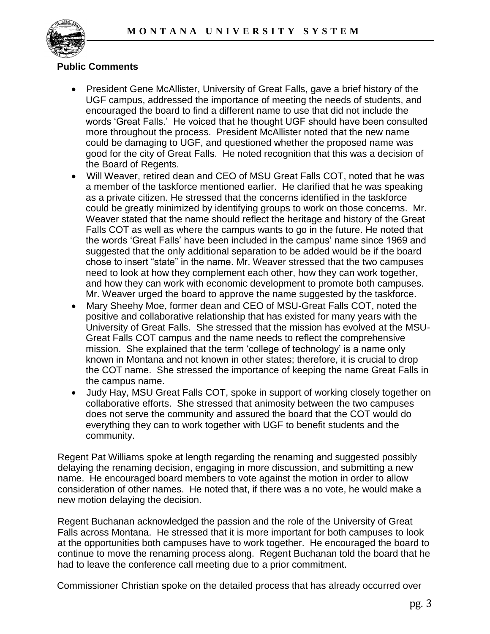

### **Public Comments**

- President Gene McAllister, University of Great Falls, gave a brief history of the UGF campus, addressed the importance of meeting the needs of students, and encouraged the board to find a different name to use that did not include the words 'Great Falls.' He voiced that he thought UGF should have been consulted more throughout the process. President McAllister noted that the new name could be damaging to UGF, and questioned whether the proposed name was good for the city of Great Falls. He noted recognition that this was a decision of the Board of Regents.
- Will Weaver, retired dean and CEO of MSU Great Falls COT, noted that he was a member of the taskforce mentioned earlier. He clarified that he was speaking as a private citizen. He stressed that the concerns identified in the taskforce could be greatly minimized by identifying groups to work on those concerns. Mr. Weaver stated that the name should reflect the heritage and history of the Great Falls COT as well as where the campus wants to go in the future. He noted that the words 'Great Falls' have been included in the campus' name since 1969 and suggested that the only additional separation to be added would be if the board chose to insert "state" in the name. Mr. Weaver stressed that the two campuses need to look at how they complement each other, how they can work together, and how they can work with economic development to promote both campuses. Mr. Weaver urged the board to approve the name suggested by the taskforce.
- Mary Sheehy Moe, former dean and CEO of MSU-Great Falls COT, noted the positive and collaborative relationship that has existed for many years with the University of Great Falls. She stressed that the mission has evolved at the MSU-Great Falls COT campus and the name needs to reflect the comprehensive mission. She explained that the term 'college of technology' is a name only known in Montana and not known in other states; therefore, it is crucial to drop the COT name. She stressed the importance of keeping the name Great Falls in the campus name.
- Judy Hay, MSU Great Falls COT, spoke in support of working closely together on collaborative efforts. She stressed that animosity between the two campuses does not serve the community and assured the board that the COT would do everything they can to work together with UGF to benefit students and the community.

Regent Pat Williams spoke at length regarding the renaming and suggested possibly delaying the renaming decision, engaging in more discussion, and submitting a new name. He encouraged board members to vote against the motion in order to allow consideration of other names. He noted that, if there was a no vote, he would make a new motion delaying the decision.

Regent Buchanan acknowledged the passion and the role of the University of Great Falls across Montana. He stressed that it is more important for both campuses to look at the opportunities both campuses have to work together. He encouraged the board to continue to move the renaming process along. Regent Buchanan told the board that he had to leave the conference call meeting due to a prior commitment.

Commissioner Christian spoke on the detailed process that has already occurred over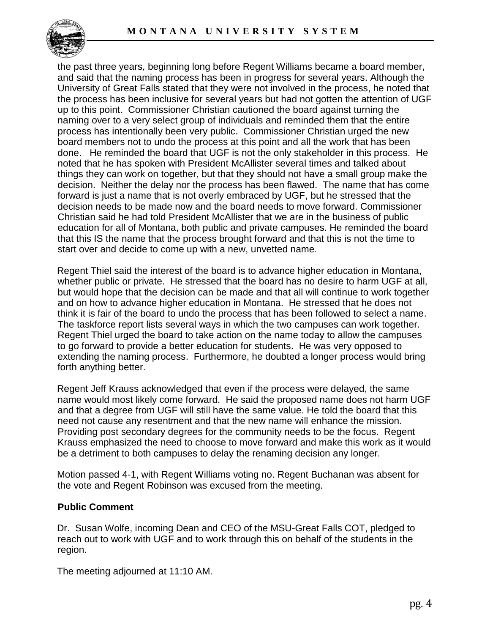

the past three years, beginning long before Regent Williams became a board member, and said that the naming process has been in progress for several years. Although the University of Great Falls stated that they were not involved in the process, he noted that the process has been inclusive for several years but had not gotten the attention of UGF up to this point. Commissioner Christian cautioned the board against turning the naming over to a very select group of individuals and reminded them that the entire process has intentionally been very public. Commissioner Christian urged the new board members not to undo the process at this point and all the work that has been done. He reminded the board that UGF is not the only stakeholder in this process. He noted that he has spoken with President McAllister several times and talked about things they can work on together, but that they should not have a small group make the decision. Neither the delay nor the process has been flawed. The name that has come forward is just a name that is not overly embraced by UGF, but he stressed that the decision needs to be made now and the board needs to move forward. Commissioner Christian said he had told President McAllister that we are in the business of public education for all of Montana, both public and private campuses. He reminded the board that this IS the name that the process brought forward and that this is not the time to start over and decide to come up with a new, unvetted name.

Regent Thiel said the interest of the board is to advance higher education in Montana, whether public or private. He stressed that the board has no desire to harm UGF at all, but would hope that the decision can be made and that all will continue to work together and on how to advance higher education in Montana. He stressed that he does not think it is fair of the board to undo the process that has been followed to select a name. The taskforce report lists several ways in which the two campuses can work together. Regent Thiel urged the board to take action on the name today to allow the campuses to go forward to provide a better education for students. He was very opposed to extending the naming process. Furthermore, he doubted a longer process would bring forth anything better.

Regent Jeff Krauss acknowledged that even if the process were delayed, the same name would most likely come forward. He said the proposed name does not harm UGF and that a degree from UGF will still have the same value. He told the board that this need not cause any resentment and that the new name will enhance the mission. Providing post secondary degrees for the community needs to be the focus. Regent Krauss emphasized the need to choose to move forward and make this work as it would be a detriment to both campuses to delay the renaming decision any longer.

Motion passed 4-1, with Regent Williams voting no. Regent Buchanan was absent for the vote and Regent Robinson was excused from the meeting.

#### **Public Comment**

Dr. Susan Wolfe, incoming Dean and CEO of the MSU-Great Falls COT, pledged to reach out to work with UGF and to work through this on behalf of the students in the region.

The meeting adjourned at 11:10 AM.